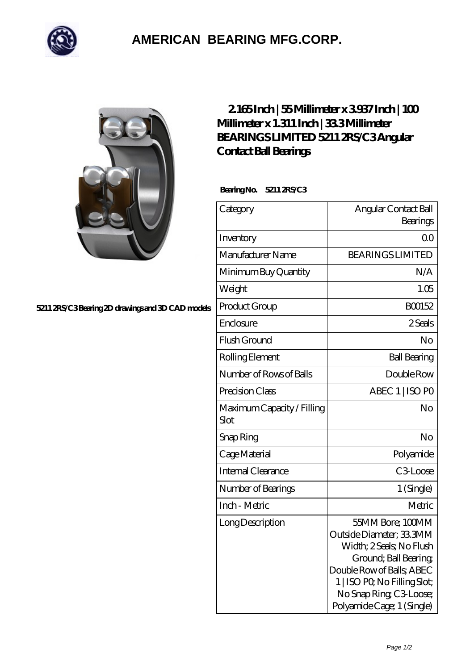

## **[AMERICAN BEARING MFG.CORP.](https://m.geragogik.net)**

**[5211 2RS/C3 Bearing 2D drawings and 3D CAD models](https://m.geragogik.net/pic-181185.html)**

## **[2.165 Inch | 55 Millimeter x 3.937 Inch | 100](https://m.geragogik.net/bb-181185-bearings-limited-5211-2rs-c3-angular-contact-ball-bearings.html) [Millimeter x 1.311 Inch | 33.3 Millimeter](https://m.geragogik.net/bb-181185-bearings-limited-5211-2rs-c3-angular-contact-ball-bearings.html) [BEARINGS LIMITED 5211 2RS/C3 Angular](https://m.geragogik.net/bb-181185-bearings-limited-5211-2rs-c3-angular-contact-ball-bearings.html) [Contact Ball Bearings](https://m.geragogik.net/bb-181185-bearings-limited-5211-2rs-c3-angular-contact-ball-bearings.html)**

 **Bearing No. 5211 2RS/C3**

| Category                           | Angular Contact Ball<br>Bearings                                                                                                                                                                                       |
|------------------------------------|------------------------------------------------------------------------------------------------------------------------------------------------------------------------------------------------------------------------|
| Inventory                          | 0 <sup>0</sup>                                                                                                                                                                                                         |
| Manufacturer Name                  | <b>BEARINGS LIMITED</b>                                                                                                                                                                                                |
| Minimum Buy Quantity               | N/A                                                                                                                                                                                                                    |
| Weight                             | 1.05                                                                                                                                                                                                                   |
| Product Group                      | BO0152                                                                                                                                                                                                                 |
| Enclosure                          | 2 Seals                                                                                                                                                                                                                |
| Flush Ground                       | No                                                                                                                                                                                                                     |
| Rolling Element                    | <b>Ball Bearing</b>                                                                                                                                                                                                    |
| Number of Rows of Balls            | Double Row                                                                                                                                                                                                             |
| Precision Class                    | ABEC 1   ISO PO                                                                                                                                                                                                        |
| Maximum Capacity / Filling<br>Slot | No                                                                                                                                                                                                                     |
| Snap Ring                          | No                                                                                                                                                                                                                     |
| Cage Material                      | Polyamide                                                                                                                                                                                                              |
| Internal Clearance                 | C <sub>3</sub> Loose                                                                                                                                                                                                   |
| Number of Bearings                 | 1 (Single)                                                                                                                                                                                                             |
| Inch - Metric                      | Metric                                                                                                                                                                                                                 |
| Long Description                   | 55MM Bore; 100MM<br>Outside Diameter; 33 3MM<br>Width; 2 Seals; No Flush<br>Ground; Ball Bearing;<br>Double Row of Balls, ABEC<br>1   ISO PO, No Filling Slot;<br>No Snap Ring C3 Loose;<br>Polyamide Cage; 1 (Single) |